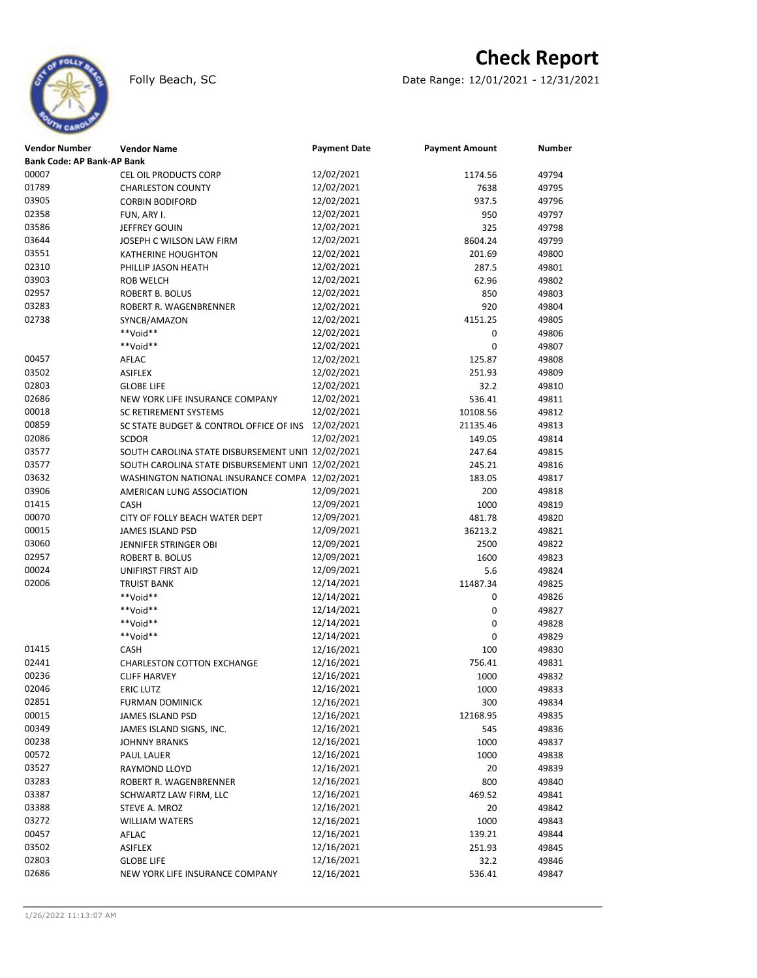

## **Check Report**

Folly Beach, SC Date Range: 12/01/2021 - 12/31/2021

| <b>Vendor Number</b>       | <b>Vendor Name</b>                                | <b>Payment Date</b>      | <b>Payment Amount</b> | Number         |
|----------------------------|---------------------------------------------------|--------------------------|-----------------------|----------------|
| Bank Code: AP Bank-AP Bank |                                                   |                          |                       |                |
| 00007                      | CEL OIL PRODUCTS CORP                             | 12/02/2021               | 1174.56               | 49794          |
| 01789                      | <b>CHARLESTON COUNTY</b>                          | 12/02/2021               | 7638                  | 49795          |
| 03905                      | <b>CORBIN BODIFORD</b>                            | 12/02/2021               | 937.5                 | 49796          |
| 02358                      | FUN, ARY I.                                       | 12/02/2021               | 950                   | 49797          |
| 03586                      | JEFFREY GOUIN                                     | 12/02/2021               | 325                   | 49798          |
| 03644                      | JOSEPH C WILSON LAW FIRM                          | 12/02/2021               | 8604.24               | 49799          |
| 03551                      | <b>KATHERINE HOUGHTON</b>                         | 12/02/2021               | 201.69                | 49800          |
| 02310                      | PHILLIP JASON HEATH                               | 12/02/2021               | 287.5                 | 49801          |
| 03903                      | <b>ROB WELCH</b>                                  | 12/02/2021               | 62.96                 | 49802          |
| 02957                      | <b>ROBERT B. BOLUS</b>                            | 12/02/2021               | 850                   | 49803          |
| 03283                      | ROBERT R. WAGENBRENNER                            | 12/02/2021               | 920                   | 49804          |
| 02738                      | SYNCB/AMAZON                                      | 12/02/2021               | 4151.25               | 49805          |
|                            | **Void**                                          | 12/02/2021               | 0                     | 49806          |
|                            | **Void**                                          | 12/02/2021               | 0                     | 49807          |
| 00457                      | AFLAC                                             | 12/02/2021               | 125.87                | 49808          |
| 03502                      | <b>ASIFLEX</b>                                    | 12/02/2021               | 251.93                | 49809          |
| 02803                      | <b>GLOBE LIFE</b>                                 | 12/02/2021               | 32.2                  | 49810          |
| 02686                      | NEW YORK LIFE INSURANCE COMPANY                   | 12/02/2021               | 536.41                | 49811          |
| 00018                      | SC RETIREMENT SYSTEMS                             | 12/02/2021               | 10108.56              | 49812          |
| 00859                      | SC STATE BUDGET & CONTROL OFFICE OF INS           | 12/02/2021               | 21135.46              | 49813          |
| 02086                      | <b>SCDOR</b>                                      | 12/02/2021               | 149.05                | 49814          |
| 03577                      | SOUTH CAROLINA STATE DISBURSEMENT UNI1 12/02/2021 |                          | 247.64                | 49815          |
| 03577                      | SOUTH CAROLINA STATE DISBURSEMENT UNI1 12/02/2021 |                          | 245.21                | 49816          |
| 03632                      | WASHINGTON NATIONAL INSURANCE COMPA 12/02/2021    |                          | 183.05                | 49817          |
| 03906                      | AMERICAN LUNG ASSOCIATION                         | 12/09/2021               | 200                   | 49818          |
| 01415                      | CASH                                              | 12/09/2021               | 1000                  | 49819          |
| 00070                      | CITY OF FOLLY BEACH WATER DEPT                    | 12/09/2021               |                       |                |
| 00015                      | <b>JAMES ISLAND PSD</b>                           | 12/09/2021               | 481.78<br>36213.2     | 49820<br>49821 |
| 03060                      |                                                   | 12/09/2021               |                       |                |
| 02957                      | JENNIFER STRINGER OBI<br><b>ROBERT B. BOLUS</b>   | 12/09/2021               | 2500                  | 49822          |
| 00024                      |                                                   | 12/09/2021               | 1600                  | 49823          |
| 02006                      | UNIFIRST FIRST AID                                | 12/14/2021               | 5.6                   | 49824          |
|                            | <b>TRUIST BANK</b>                                |                          | 11487.34              | 49825          |
|                            | **Void**<br>**Void**                              | 12/14/2021               | 0                     | 49826          |
|                            |                                                   | 12/14/2021               | 0                     | 49827          |
|                            | **Void**                                          | 12/14/2021               | 0                     | 49828          |
|                            | **Void**                                          | 12/14/2021<br>12/16/2021 | 0                     | 49829          |
| 01415                      | <b>CASH</b>                                       |                          | 100                   | 49830          |
| 02441                      | <b>CHARLESTON COTTON EXCHANGE</b>                 | 12/16/2021               | 756.41                | 49831          |
| 00236                      | <b>CLIFF HARVEY</b>                               | 12/16/2021               | 1000                  | 49832          |
| 02046                      | <b>ERIC LUTZ</b>                                  | 12/16/2021<br>12/16/2021 | 1000                  | 49833          |
| 02851                      | FURMAN DOMINICK                                   |                          | 300                   | 49834          |
| 00015                      | JAMES ISLAND PSD                                  | 12/16/2021               | 12168.95              | 49835          |
| 00349                      | JAMES ISLAND SIGNS, INC.                          | 12/16/2021               | 545                   | 49836          |
| 00238                      | <b>JOHNNY BRANKS</b>                              | 12/16/2021               | 1000                  | 49837          |
| 00572                      | <b>PAUL LAUER</b>                                 | 12/16/2021               | 1000                  | 49838          |
| 03527                      | RAYMOND LLOYD                                     | 12/16/2021               | 20                    | 49839          |
| 03283                      | ROBERT R. WAGENBRENNER                            | 12/16/2021               | 800                   | 49840          |
| 03387                      | SCHWARTZ LAW FIRM, LLC                            | 12/16/2021               | 469.52                | 49841          |
| 03388                      | STEVE A. MROZ                                     | 12/16/2021               | 20                    | 49842          |
| 03272                      | <b>WILLIAM WATERS</b>                             | 12/16/2021               | 1000                  | 49843          |
| 00457                      | AFLAC                                             | 12/16/2021               | 139.21                | 49844          |
| 03502                      | ASIFLEX                                           | 12/16/2021               | 251.93                | 49845          |
| 02803                      | <b>GLOBE LIFE</b>                                 | 12/16/2021               | 32.2                  | 49846          |
| 02686                      | NEW YORK LIFE INSURANCE COMPANY                   | 12/16/2021               | 536.41                | 49847          |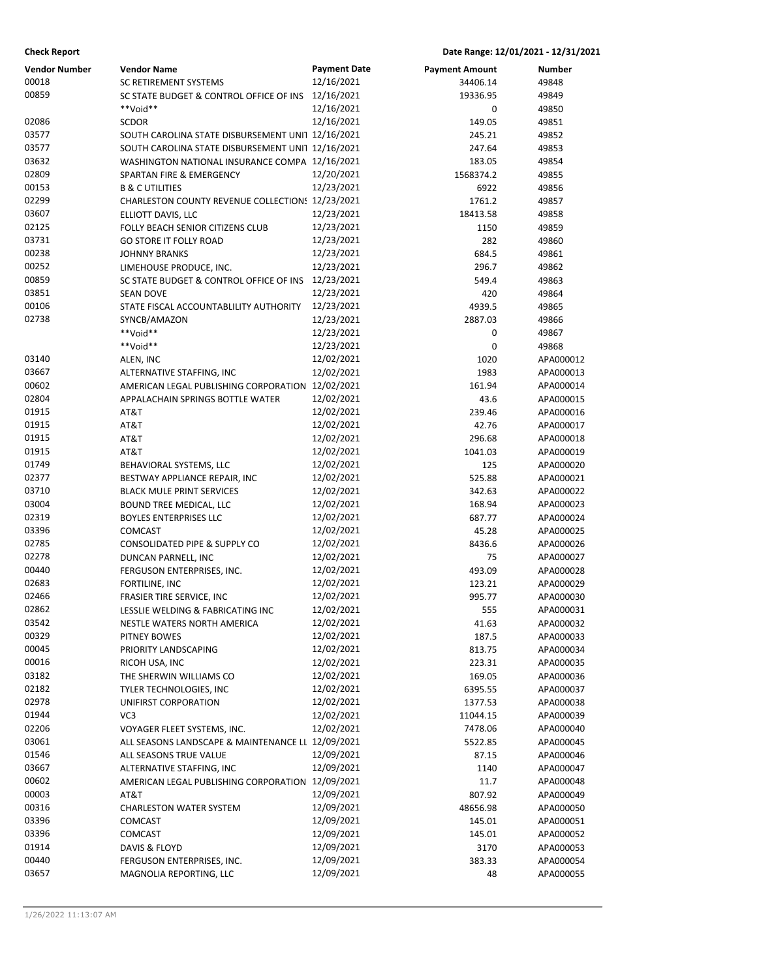| <b>Vendor Number</b> | <b>Vendor Name</b>                                | <b>Payment Date</b> | <b>Payment Amount</b> | Number    |
|----------------------|---------------------------------------------------|---------------------|-----------------------|-----------|
| 00018                | <b>SC RETIREMENT SYSTEMS</b>                      | 12/16/2021          | 34406.14              | 49848     |
| 00859                | SC STATE BUDGET & CONTROL OFFICE OF INS           | 12/16/2021          | 19336.95              | 49849     |
|                      | **Void**                                          | 12/16/2021          | 0                     | 49850     |
| 02086                | <b>SCDOR</b>                                      | 12/16/2021          | 149.05                | 49851     |
| 03577                | SOUTH CAROLINA STATE DISBURSEMENT UNI1 12/16/2021 |                     | 245.21                | 49852     |
| 03577                | SOUTH CAROLINA STATE DISBURSEMENT UNI1 12/16/2021 |                     | 247.64                | 49853     |
| 03632                | WASHINGTON NATIONAL INSURANCE COMPA 12/16/2021    |                     | 183.05                | 49854     |
| 02809                | SPARTAN FIRE & EMERGENCY                          | 12/20/2021          | 1568374.2             | 49855     |
| 00153                | <b>B &amp; C UTILITIES</b>                        | 12/23/2021          | 6922                  | 49856     |
| 02299                | CHARLESTON COUNTY REVENUE COLLECTION: 12/23/2021  |                     | 1761.2                | 49857     |
| 03607                | ELLIOTT DAVIS, LLC                                | 12/23/2021          | 18413.58              | 49858     |
| 02125                | FOLLY BEACH SENIOR CITIZENS CLUB                  | 12/23/2021          | 1150                  | 49859     |
| 03731                | <b>GO STORE IT FOLLY ROAD</b>                     | 12/23/2021          | 282                   | 49860     |
| 00238                | <b>JOHNNY BRANKS</b>                              | 12/23/2021          | 684.5                 | 49861     |
| 00252                | LIMEHOUSE PRODUCE, INC.                           | 12/23/2021          | 296.7                 | 49862     |
| 00859                | SC STATE BUDGET & CONTROL OFFICE OF INS           | 12/23/2021          | 549.4                 | 49863     |
| 03851                | <b>SEAN DOVE</b>                                  | 12/23/2021          | 420                   | 49864     |
| 00106                | STATE FISCAL ACCOUNTABLILITY AUTHORITY            | 12/23/2021          | 4939.5                | 49865     |
| 02738                | SYNCB/AMAZON                                      | 12/23/2021          | 2887.03               | 49866     |
|                      | **Void**                                          | 12/23/2021          | 0                     | 49867     |
|                      | **Void**                                          | 12/23/2021          | 0                     | 49868     |
| 03140                | ALEN, INC                                         | 12/02/2021          | 1020                  | APA000012 |
| 03667                | ALTERNATIVE STAFFING, INC                         | 12/02/2021          | 1983                  | APA000013 |
| 00602                | AMERICAN LEGAL PUBLISHING CORPORATION 12/02/2021  |                     | 161.94                | APA000014 |
| 02804                | APPALACHAIN SPRINGS BOTTLE WATER                  | 12/02/2021          | 43.6                  | APA000015 |
| 01915                | AT&T                                              | 12/02/2021          | 239.46                | APA000016 |
| 01915                | AT&T                                              | 12/02/2021          | 42.76                 | APA000017 |
| 01915                | AT&T                                              | 12/02/2021          | 296.68                | APA000018 |
| 01915                | AT&T                                              | 12/02/2021          | 1041.03               | APA000019 |
| 01749                | BEHAVIORAL SYSTEMS, LLC                           | 12/02/2021          | 125                   | APA000020 |
| 02377                | BESTWAY APPLIANCE REPAIR, INC                     | 12/02/2021          | 525.88                | APA000021 |
| 03710                | <b>BLACK MULE PRINT SERVICES</b>                  | 12/02/2021          | 342.63                | APA000022 |
| 03004                | BOUND TREE MEDICAL, LLC                           | 12/02/2021          | 168.94                | APA000023 |
| 02319                | <b>BOYLES ENTERPRISES LLC</b>                     | 12/02/2021          | 687.77                | APA000024 |
| 03396                | COMCAST                                           | 12/02/2021          | 45.28                 | APA000025 |
| 02785                | CONSOLIDATED PIPE & SUPPLY CO                     | 12/02/2021          | 8436.6                | APA000026 |
| 02278                | DUNCAN PARNELL, INC                               | 12/02/2021          | 75                    | APA000027 |
| 00440                | FERGUSON ENTERPRISES, INC.                        | 12/02/2021          | 493.09                | APA000028 |
| 02683                | FORTILINE, INC                                    | 12/02/2021          | 123.21                | APA000029 |
| 02466                | FRASIER TIRE SERVICE, INC                         | 12/02/2021          | 995.77                | APA000030 |
| 02862                | LESSLIE WELDING & FABRICATING INC                 | 12/02/2021          | 555                   | APA000031 |
| 03542                | NESTLE WATERS NORTH AMERICA                       | 12/02/2021          | 41.63                 | APA000032 |
| 00329                | PITNEY BOWES                                      | 12/02/2021          | 187.5                 | APA000033 |
| 00045                | PRIORITY LANDSCAPING                              | 12/02/2021          | 813.75                | APA000034 |
| 00016                | RICOH USA, INC                                    | 12/02/2021          | 223.31                | APA000035 |
| 03182                | THE SHERWIN WILLIAMS CO                           | 12/02/2021          | 169.05                | APA000036 |
| 02182                | TYLER TECHNOLOGIES, INC                           | 12/02/2021          | 6395.55               | APA000037 |
| 02978                | UNIFIRST CORPORATION                              | 12/02/2021          | 1377.53               | APA000038 |
| 01944                | VC3                                               | 12/02/2021          | 11044.15              | APA000039 |
| 02206                | VOYAGER FLEET SYSTEMS, INC.                       | 12/02/2021          | 7478.06               | APA000040 |
| 03061                | ALL SEASONS LANDSCAPE & MAINTENANCE LL 12/09/2021 |                     | 5522.85               | APA000045 |
| 01546                | ALL SEASONS TRUE VALUE                            | 12/09/2021          | 87.15                 | APA000046 |
| 03667                | ALTERNATIVE STAFFING, INC                         | 12/09/2021          | 1140                  | APA000047 |
| 00602                | AMERICAN LEGAL PUBLISHING CORPORATION 12/09/2021  |                     | 11.7                  | APA000048 |
| 00003                | AT&T                                              | 12/09/2021          | 807.92                | APA000049 |
| 00316                | <b>CHARLESTON WATER SYSTEM</b>                    | 12/09/2021          | 48656.98              | APA000050 |
| 03396                | COMCAST                                           | 12/09/2021          | 145.01                | APA000051 |
| 03396                | COMCAST                                           | 12/09/2021          | 145.01                | APA000052 |
| 01914                | DAVIS & FLOYD                                     | 12/09/2021          | 3170                  | APA000053 |
| 00440                | FERGUSON ENTERPRISES, INC.                        | 12/09/2021          | 383.33                | APA000054 |
| 03657                | MAGNOLIA REPORTING, LLC                           | 12/09/2021          | 48                    | APA000055 |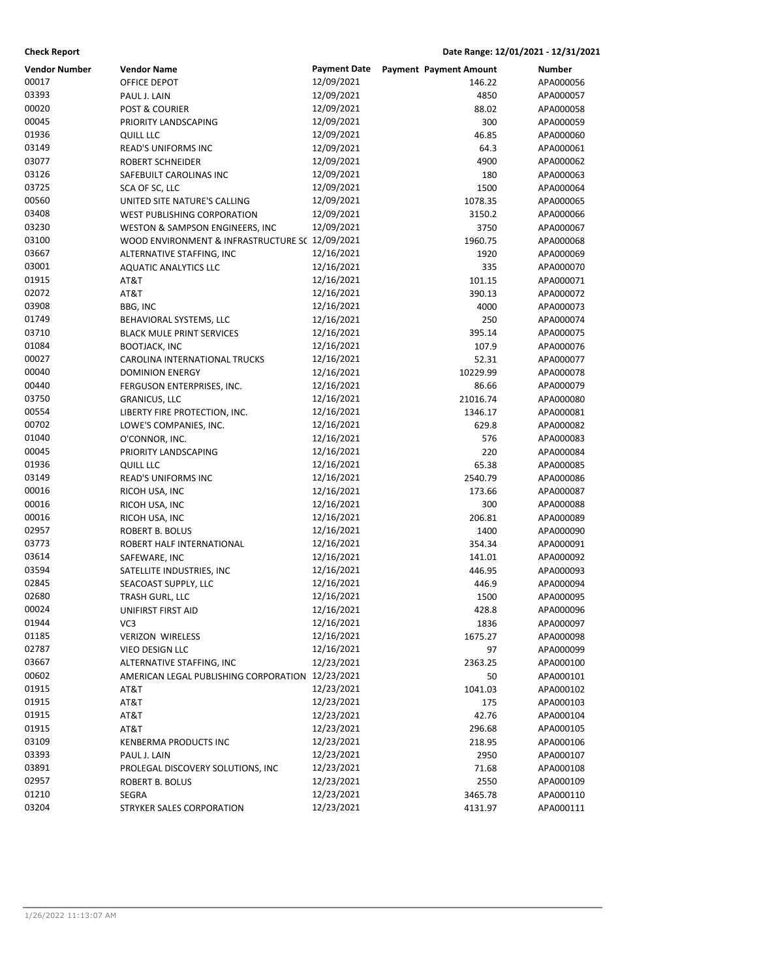| <b>Check Report</b>  |                                                  |                     | Date Range: 12/01/2021 - 12/31/2021 |           |
|----------------------|--------------------------------------------------|---------------------|-------------------------------------|-----------|
| <b>Vendor Number</b> | Vendor Name                                      | <b>Payment Date</b> | <b>Payment Payment Amount</b>       | Number    |
| 00017                | OFFICE DEPOT                                     | 12/09/2021          | 146.22                              | APA000056 |
| 03393                | PAUL J. LAIN                                     | 12/09/2021          | 4850                                | APA000057 |
| 00020                | <b>POST &amp; COURIER</b>                        | 12/09/2021          | 88.02                               | APA000058 |
| 00045                | PRIORITY LANDSCAPING                             | 12/09/2021          | 300                                 | APA000059 |
| 01936                | QUILL LLC                                        | 12/09/2021          | 46.85                               | APA000060 |
| 03149                | READ'S UNIFORMS INC                              | 12/09/2021          | 64.3                                | APA000061 |
| 03077                | ROBERT SCHNEIDER                                 | 12/09/2021          | 4900                                | APA000062 |
| 03126                | SAFEBUILT CAROLINAS INC                          | 12/09/2021          | 180                                 | APA000063 |
| 03725                | SCA OF SC, LLC                                   | 12/09/2021          | 1500                                | APA000064 |
| 00560                | UNITED SITE NATURE'S CALLING                     | 12/09/2021          | 1078.35                             | APA000065 |
| 03408                | WEST PUBLISHING CORPORATION                      | 12/09/2021          | 3150.2                              | APA000066 |
| 03230                | WESTON & SAMPSON ENGINEERS, INC                  | 12/09/2021          | 3750                                | APA000067 |
| 03100                | WOOD ENVIRONMENT & INFRASTRUCTURE S( 12/09/2021  |                     | 1960.75                             | APA000068 |
| 03667                | ALTERNATIVE STAFFING, INC                        | 12/16/2021          | 1920                                | APA000069 |
| 03001                | <b>AQUATIC ANALYTICS LLC</b>                     | 12/16/2021          | 335                                 | APA000070 |
| 01915                | AT&T                                             | 12/16/2021          | 101.15                              | APA000071 |
| 02072                | AT&T                                             | 12/16/2021          | 390.13                              | APA000072 |
| 03908                | <b>BBG, INC</b>                                  | 12/16/2021          | 4000                                | APA000073 |
| 01749                | BEHAVIORAL SYSTEMS, LLC                          | 12/16/2021          | 250                                 | APA000074 |
| 03710                | <b>BLACK MULE PRINT SERVICES</b>                 | 12/16/2021          | 395.14                              | APA000075 |
| 01084                | <b>BOOTJACK, INC</b>                             | 12/16/2021          | 107.9                               | APA000076 |
| 00027                | <b>CAROLINA INTERNATIONAL TRUCKS</b>             | 12/16/2021          | 52.31                               | APA000077 |
| 00040                | <b>DOMINION ENERGY</b>                           | 12/16/2021          | 10229.99                            | APA000078 |
| 00440                | FERGUSON ENTERPRISES, INC.                       | 12/16/2021          | 86.66                               | APA000079 |
| 03750                | <b>GRANICUS, LLC</b>                             | 12/16/2021          | 21016.74                            | APA000080 |
| 00554                | LIBERTY FIRE PROTECTION, INC.                    | 12/16/2021          | 1346.17                             | APA000081 |
| 00702                | LOWE'S COMPANIES, INC.                           | 12/16/2021          | 629.8                               | APA000082 |
| 01040                | O'CONNOR, INC.                                   | 12/16/2021          | 576                                 | APA000083 |
| 00045                | PRIORITY LANDSCAPING                             | 12/16/2021          | 220                                 | APA000084 |
| 01936                | <b>QUILL LLC</b>                                 | 12/16/2021          | 65.38                               | APA000085 |
| 03149                | READ'S UNIFORMS INC                              | 12/16/2021          | 2540.79                             | APA000086 |
| 00016                | RICOH USA, INC                                   | 12/16/2021          | 173.66                              | APA000087 |
| 00016                | RICOH USA, INC                                   | 12/16/2021          | 300                                 | APA000088 |
| 00016                | RICOH USA, INC                                   | 12/16/2021          | 206.81                              | APA000089 |
| 02957                | ROBERT B. BOLUS                                  | 12/16/2021          | 1400                                | APA000090 |
| 03773                | ROBERT HALF INTERNATIONAL                        | 12/16/2021          | 354.34                              | APA000091 |
| 03614                | SAFEWARE, INC                                    | 12/16/2021          | 141.01                              | APA000092 |
| 03594                | SATELLITE INDUSTRIES, INC                        | 12/16/2021          | 446.95                              | APA000093 |
| 02845                | SEACOAST SUPPLY, LLC                             | 12/16/2021          | 446.9                               | APA000094 |
| 02680                | TRASH GURL, LLC                                  | 12/16/2021          | 1500                                | APA000095 |
| 00024                | UNIFIRST FIRST AID                               | 12/16/2021          | 428.8                               | APA000096 |
| 01944                | VC3                                              | 12/16/2021          | 1836                                | APA000097 |
| 01185                | <b>VERIZON WIRELESS</b>                          | 12/16/2021          | 1675.27                             | APA000098 |
| 02787                | VIEO DESIGN LLC                                  | 12/16/2021          | 97                                  | APA000099 |
| 03667                | ALTERNATIVE STAFFING, INC                        | 12/23/2021          | 2363.25                             | APA000100 |
| 00602                | AMERICAN LEGAL PUBLISHING CORPORATION 12/23/2021 |                     | 50                                  | APA000101 |
| 01915                | AT&T                                             | 12/23/2021          | 1041.03                             | APA000102 |
| 01915                | AT&T                                             | 12/23/2021          | 175                                 | APA000103 |
| 01915                | AT&T                                             | 12/23/2021          | 42.76                               | APA000104 |
| 01915                | AT&T                                             | 12/23/2021          | 296.68                              | APA000105 |
| 03109                | KENBERMA PRODUCTS INC                            | 12/23/2021          | 218.95                              | APA000106 |
| 03393                | PAUL J. LAIN                                     | 12/23/2021          | 2950                                | APA000107 |
| 03891                | PROLEGAL DISCOVERY SOLUTIONS, INC                | 12/23/2021          | 71.68                               | APA000108 |
| 02957                | ROBERT B. BOLUS                                  | 12/23/2021          | 2550                                | APA000109 |
| 01210                | SEGRA                                            | 12/23/2021          | 3465.78                             | APA000110 |
| 03204                | STRYKER SALES CORPORATION                        | 12/23/2021          | 4131.97                             | APA000111 |